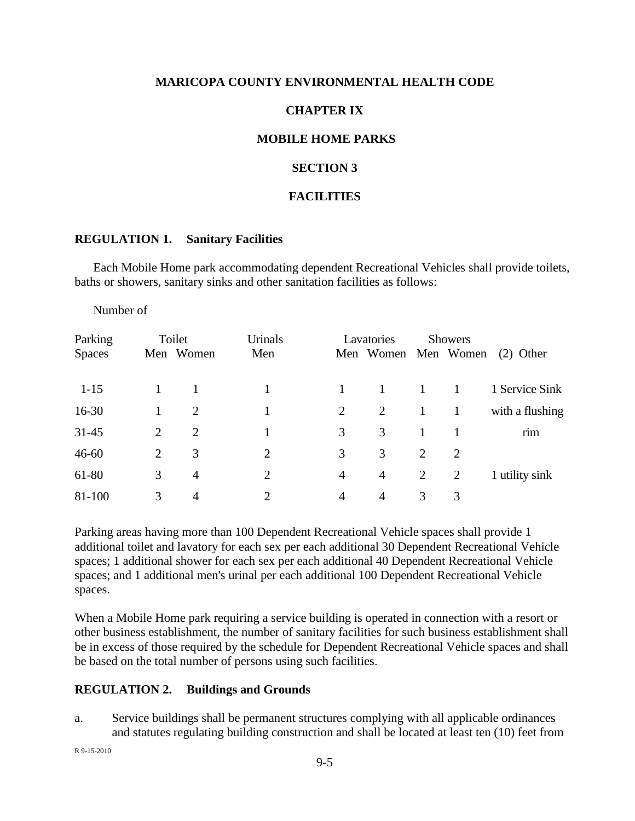#### **MARICOPA COUNTY ENVIRONMENTAL HEALTH CODE**

## **CHAPTER IX**

# **MOBILE HOME PARKS**

#### **SECTION 3**

### **FACILITIES**

#### **REGULATION 1. Sanitary Facilities**

Each Mobile Home park accommodating dependent Recreational Vehicles shall provide toilets, baths or showers, sanitary sinks and other sanitation facilities as follows:

Number of

| Parking       | Toilet       |                | Urinals        | Lavatories     |                     | <b>Showers</b> |                |                 |
|---------------|--------------|----------------|----------------|----------------|---------------------|----------------|----------------|-----------------|
| <b>Spaces</b> |              | Men Women      | Men            |                | Men Women Men Women |                |                | $(2)$ Other     |
| $1 - 15$      | $\mathbf{1}$ |                | 1              | 1              | $\mathbf{1}$        | $\overline{1}$ | 1              | 1 Service Sink  |
| $16-30$       |              | $\overline{2}$ | 1              | 2              | 2                   | 1              | $\mathbf{1}$   | with a flushing |
| $31 - 45$     | 2            | $\overline{2}$ |                | 3              | 3                   | 1              | 1              | rim             |
| $46 - 60$     | 2            | 3              | $\overline{2}$ | 3              | 3                   | 2              | $\overline{2}$ |                 |
| 61-80         | 3            | $\overline{4}$ | $\overline{2}$ | $\overline{4}$ | $\overline{4}$      | 2              | $\overline{2}$ | 1 utility sink  |
| 81-100        | 3            | 4              | $\overline{2}$ | 4              | $\overline{4}$      | 3              | 3              |                 |

Parking areas having more than 100 Dependent Recreational Vehicle spaces shall provide 1 additional toilet and lavatory for each sex per each additional 30 Dependent Recreational Vehicle spaces; 1 additional shower for each sex per each additional 40 Dependent Recreational Vehicle spaces; and 1 additional men's urinal per each additional 100 Dependent Recreational Vehicle spaces.

When a Mobile Home park requiring a service building is operated in connection with a resort or other business establishment, the number of sanitary facilities for such business establishment shall be in excess of those required by the schedule for Dependent Recreational Vehicle spaces and shall be based on the total number of persons using such facilities.

## **REGULATION 2. Buildings and Grounds**

a. Service buildings shall be permanent structures complying with all applicable ordinances and statutes regulating building construction and shall be located at least ten (10) feet from

R 9-15-2010